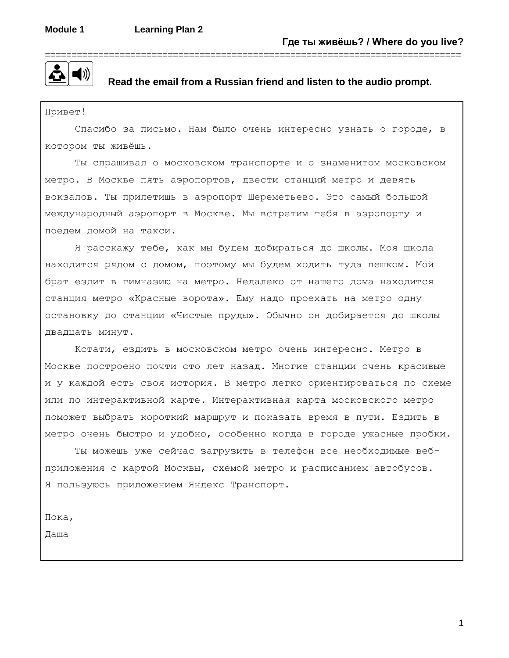

#### **Read the email from a Russian friend and listen to the audio prompt.**

Привет!

Спасибо за письмо. Нам было очень интересно узнать о городе, в котором ты живёшь.

Ты спрашивал о московском транспорте и о знаменитом московском метро. В Москве пять аэропортов, двести станций метро и девять вокзалов. Ты прилетишь в аэропорт Шереметьево. Это самый большой международный аэропорт в Москве. Мы встретим тебя в аэропорту и поедем домой на такси.

Я расскажу тебе, как мы будем добираться до школы. Моя школа находится рядом с домом, поэтому мы будем ходить туда пешком. Мой брат ездит в гимназию на метро. Недалеко от нашего дома находится станция метро «Красные ворота». Ему надо проехать на метро одну остановку до станции «Чистые пруды». Обычно он добирается до школы двадцать минут.

Кстати, ездить в московском метро очень интересно. Метро в Москве построено почти сто лет назад. Многие станции очень красивые и у каждой есть своя история. В метро легко ориентироваться по схеме или по интерактивной карте. Интерактивная карта московского метро поможет выбрать короткий маршрут и показать время в пути. Ездить в метро очень быстро и удобно, особенно когда в городе ужасные пробки.

Ты можешь уже сейчас загрузить в телефон все необходимые вебприложения с картой Москвы, схемой метро и расписанием автобусов. Я пользуюсь приложением Яндекс Транспорт.

Пока,

Даша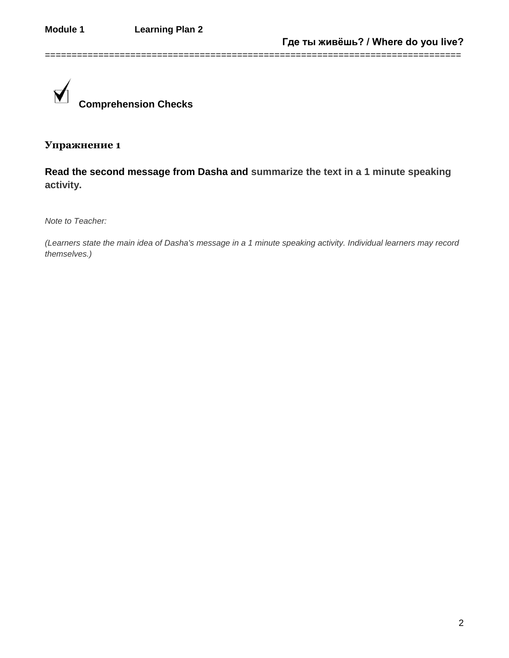

# **Read the second message from Dasha and summarize the text in a 1 minute speaking activity.**

==============================================================================

*Note to Teacher:*

*(Learners state the main idea of Dasha's message in a 1 minute speaking activity. Individual learners may record themselves.)*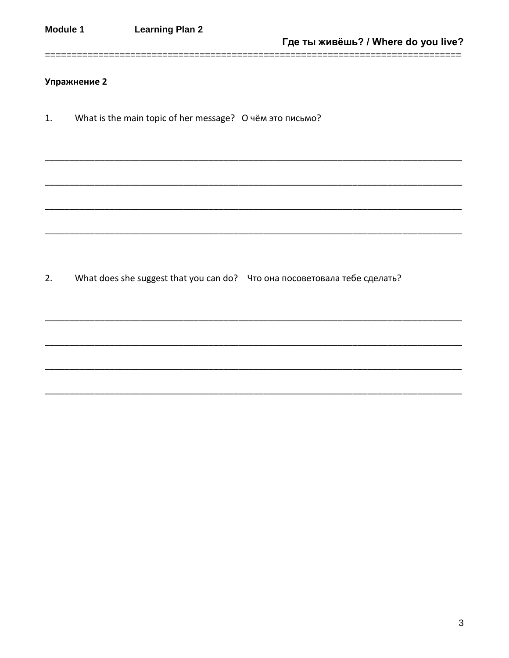What is the main topic of her message? О чём это письмо?  $1.$ 

- $2.$ What does she suggest that you can do? Что она посоветовала тебе сделать?
	-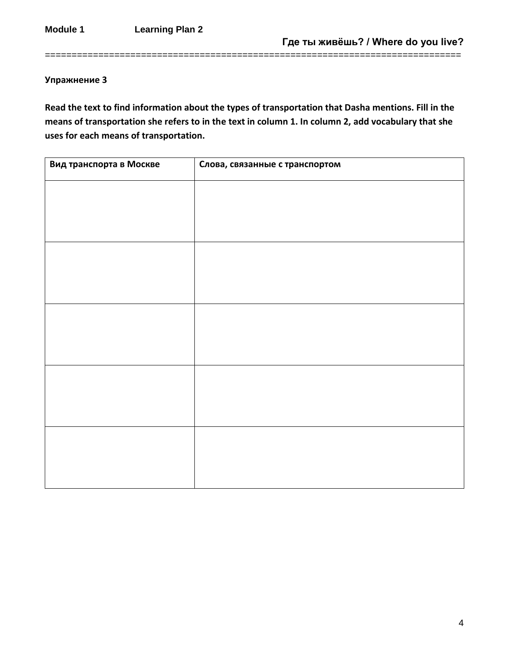**Read the text to find information about the types of transportation that Dasha mentions. Fill in the means of transportation she refers to in the text in column 1. In column 2, add vocabulary that she uses for each means of transportation.**

==============================================================================

| Вид транспорта в Москве | Слова, связанные с транспортом |
|-------------------------|--------------------------------|
|                         |                                |
|                         |                                |
|                         |                                |
|                         |                                |
|                         |                                |
|                         |                                |
|                         |                                |
|                         |                                |
|                         |                                |
|                         |                                |
|                         |                                |
|                         |                                |
|                         |                                |
|                         |                                |
|                         |                                |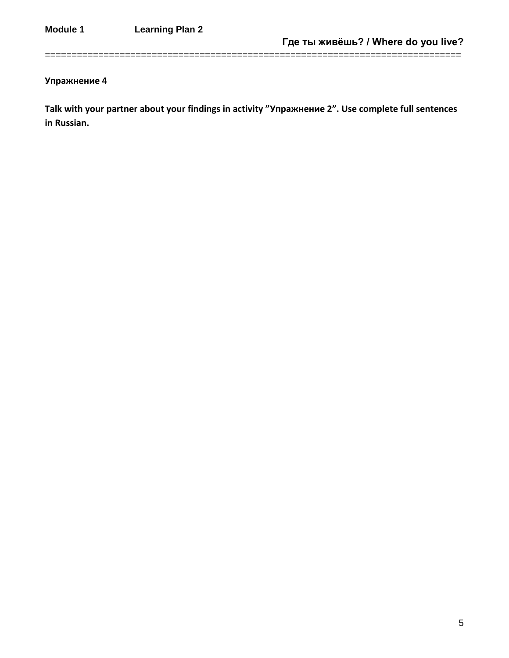**Talk with your partner about your findings in activity "Упражнение 2". Use complete full sentences in Russian.** 

==============================================================================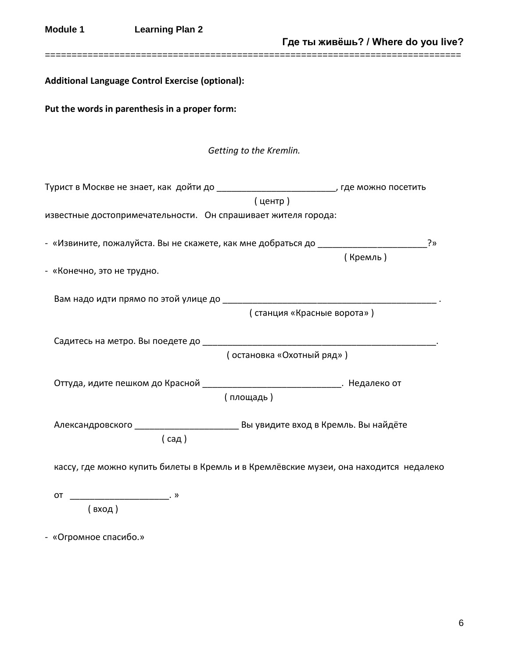| <b>Module 1</b>            | <b>Learning Plan 2</b>                                                                                                                                                                                                                                                                                                                                                                                     |                                                                                                                                                                     | Где ты живёшь? / Where do you live? |
|----------------------------|------------------------------------------------------------------------------------------------------------------------------------------------------------------------------------------------------------------------------------------------------------------------------------------------------------------------------------------------------------------------------------------------------------|---------------------------------------------------------------------------------------------------------------------------------------------------------------------|-------------------------------------|
|                            | Additional Language Control Exercise (optional):                                                                                                                                                                                                                                                                                                                                                           |                                                                                                                                                                     |                                     |
|                            | Put the words in parenthesis in a proper form:                                                                                                                                                                                                                                                                                                                                                             |                                                                                                                                                                     |                                     |
|                            |                                                                                                                                                                                                                                                                                                                                                                                                            | Getting to the Kremlin.                                                                                                                                             |                                     |
|                            |                                                                                                                                                                                                                                                                                                                                                                                                            | Турист в Москве не знает, как дойти до ____________________________, где можно посетить<br>(центр)<br>известные достопримечательности. Он спрашивает жителя города: |                                     |
|                            |                                                                                                                                                                                                                                                                                                                                                                                                            | - «Извините, пожалуйста. Вы не скажете, как мне добраться до _________________________                                                                              | ?»<br>(Кремль)                      |
| - «Конечно, это не трудно. |                                                                                                                                                                                                                                                                                                                                                                                                            |                                                                                                                                                                     |                                     |
|                            |                                                                                                                                                                                                                                                                                                                                                                                                            | (станция «Красные ворота»)                                                                                                                                          |                                     |
|                            |                                                                                                                                                                                                                                                                                                                                                                                                            | ( остановка «Охотный ряд»)                                                                                                                                          |                                     |
|                            |                                                                                                                                                                                                                                                                                                                                                                                                            | Оттуда, идите пешком до Красной ___________________________________. Недалеко от<br>( площадь )                                                                     |                                     |
|                            | (c <sub>a</sub>                                                                                                                                                                                                                                                                                                                                                                                            | Александровского ___________________________ Вы увидите вход в Кремль. Вы найдёте                                                                                   |                                     |
|                            |                                                                                                                                                                                                                                                                                                                                                                                                            | кассу, где можно купить билеты в Кремль и в Кремлёвские музеи, она находится недалеко                                                                               |                                     |
| OT                         | $\overline{\phantom{a_{13}}\phantom{a_{11}}\!\!\! \phantom{a_{11}}\!\!\! \phantom{a_{11}}\!\!\! \phantom{a_{11}}\!\!\! \phantom{a_{11}}\!\!\! \phantom{a_{11}}\!\!\! \phantom{a_{11}}\!\!\! \phantom{a_{11}}\!\!\! \phantom{a_{11}}\!\!\! \phantom{a_{11}}\!\!\! \phantom{a_{11}}\!\!\! \phantom{a_{11}}\!\!\! \phantom{a_{11}}\!\!\! \phantom{a_{11}}\!\!\! \phantom{a_{11}}\!\!\! \phantom{a_{11}}\!\!\$ |                                                                                                                                                                     |                                     |
| - «Огромное спасибо.»      |                                                                                                                                                                                                                                                                                                                                                                                                            |                                                                                                                                                                     |                                     |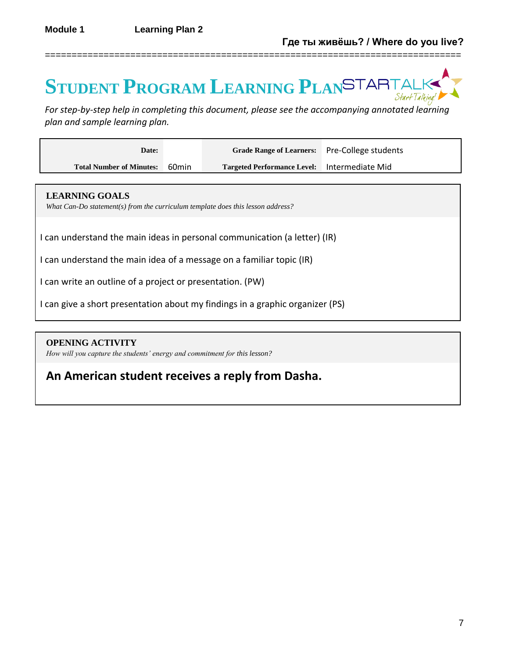# **STUDENT PROGRAM LEARNING PLAN**

==============================================================================

*For step-by-step help in completing this document, please see the accompanying annotated learning plan and sample learning plan.*

| Date:                           |                   | Grade Range of Learners: Pre-College students |  |
|---------------------------------|-------------------|-----------------------------------------------|--|
| <b>Total Number of Minutes:</b> | 60 <sub>min</sub> | Targeted Performance Level: Intermediate Mid  |  |

#### **LEARNING GOALS**

*What Can-Do statement(s) from the curriculum template does this lesson address?*

I can understand the main ideas in personal communication (a letter) (IR)

I can understand the main idea of a message on a familiar topic (IR)

I can write an outline of a project or presentation. (PW)

I can give a short presentation about my findings in a graphic organizer (PS)

## **OPENING ACTIVITY**

*How will you capture the students' energy and commitment for this lesson?*

# **An American student receives a reply from Dasha.**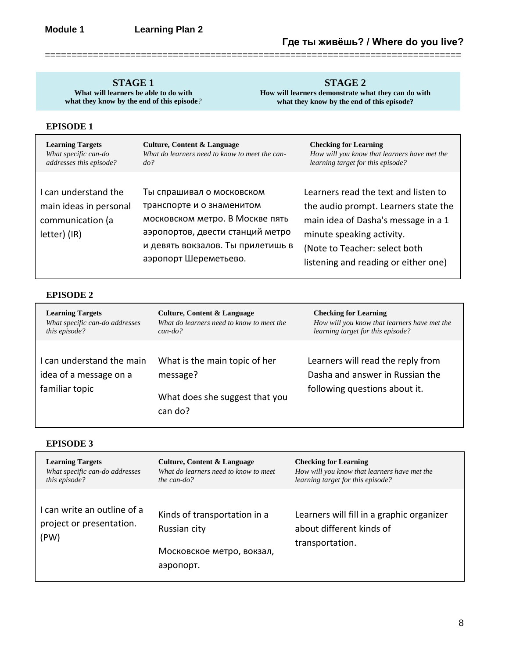**STAGE 1 What will learners be able to do with** 

**what they know by the end of this episode***?*

**STAGE 2**

**How will learners demonstrate what they can do with what they know by the end of this episode?**

#### **EPISODE 1**

| <b>Learning Targets</b>                                                            | Culture, Content & Language                                                                                                                                                                 | <b>Checking for Learning</b>                                                                                                                                                                                              |
|------------------------------------------------------------------------------------|---------------------------------------------------------------------------------------------------------------------------------------------------------------------------------------------|---------------------------------------------------------------------------------------------------------------------------------------------------------------------------------------------------------------------------|
| What specific can-do                                                               | What do learners need to know to meet the can-                                                                                                                                              | How will you know that learners have met the                                                                                                                                                                              |
| addresses this episode?                                                            | do?                                                                                                                                                                                         | learning target for this episode?                                                                                                                                                                                         |
| I can understand the<br>main ideas in personal<br>communication (a<br>letter) (IR) | Ты спрашивал о московском<br>транспорте и о знаменитом<br>московском метро. В Москве пять<br>аэропортов, двести станций метро<br>и девять вокзалов. Ты прилетишь в<br>аэропорт Шереметьево. | Learners read the text and listen to<br>the audio prompt. Learners state the<br>main idea of Dasha's message in a 1<br>minute speaking activity.<br>(Note to Teacher: select both<br>listening and reading or either one) |

==============================================================================

## **EPISODE 2**

| <b>Learning Targets</b>                                               | Culture, Content & Language                                                            | <b>Checking for Learning</b>                                                                          |
|-----------------------------------------------------------------------|----------------------------------------------------------------------------------------|-------------------------------------------------------------------------------------------------------|
| What specific can-do addresses                                        | What do learners need to know to meet the                                              | How will you know that learners have met the                                                          |
| this episode?                                                         | $can$ -do?                                                                             | learning target for this episode?                                                                     |
| I can understand the main<br>idea of a message on a<br>familiar topic | What is the main topic of her<br>message?<br>What does she suggest that you<br>can do? | Learners will read the reply from<br>Dasha and answer in Russian the<br>following questions about it. |

#### **EPISODE 3**

| <b>Learning Targets</b>                                         | Culture, Content & Language                                                            | <b>Checking for Learning</b>                                                             |
|-----------------------------------------------------------------|----------------------------------------------------------------------------------------|------------------------------------------------------------------------------------------|
| What specific can-do addresses                                  | What do learners need to know to meet                                                  | How will you know that learners have met the                                             |
| this episode?                                                   | the can-do?                                                                            | learning target for this episode?                                                        |
| I can write an outline of a<br>project or presentation.<br>(PW) | Kinds of transportation in a<br>Russian city<br>Московское метро, вокзал,<br>аэропорт. | Learners will fill in a graphic organizer<br>about different kinds of<br>transportation. |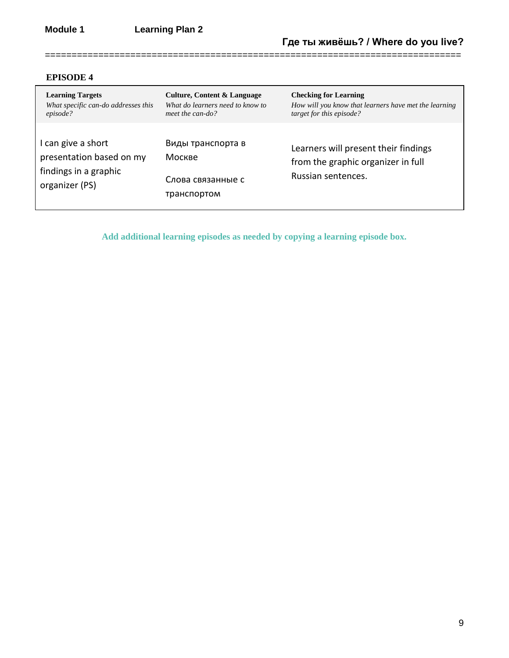## **EPISODE 4**

| <b>Learning Targets</b>                                                                   | Culture, Content & Language                                     | <b>Checking for Learning</b>                                                                     |
|-------------------------------------------------------------------------------------------|-----------------------------------------------------------------|--------------------------------------------------------------------------------------------------|
| What specific can-do addresses this                                                       | What do learners need to know to                                | How will you know that learners have met the learning                                            |
| episode?                                                                                  | meet the can-do?                                                | target for this episode?                                                                         |
| I can give a short<br>presentation based on my<br>findings in a graphic<br>organizer (PS) | Виды транспорта в<br>Москве<br>Слова связанные с<br>транспортом | Learners will present their findings<br>from the graphic organizer in full<br>Russian sentences. |

==============================================================================

**Add additional learning episodes as needed by copying a learning episode box.**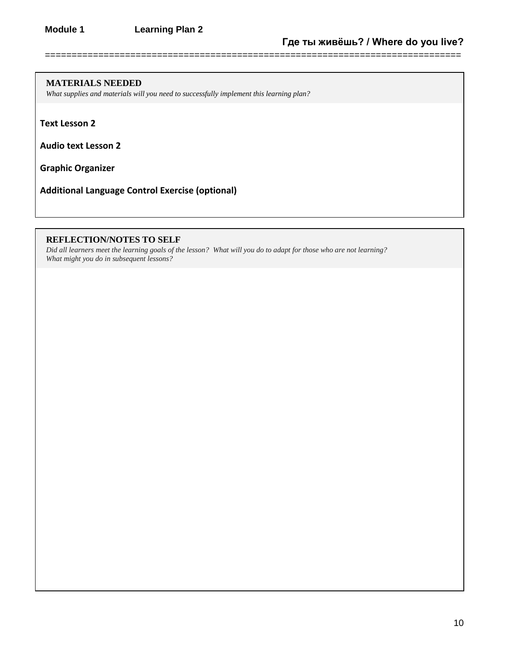==============================================================================

#### **MATERIALS NEEDED**

*What supplies and materials will you need to successfully implement this learning plan?*

**Text Lesson 2**

**Audio text Lesson 2**

**Graphic Organizer**

**Additional Language Control Exercise (optional)**

#### **REFLECTION/NOTES TO SELF**

*Did all learners meet the learning goals of the lesson? What will you do to adapt for those who are not learning? What might you do in subsequent lessons?*